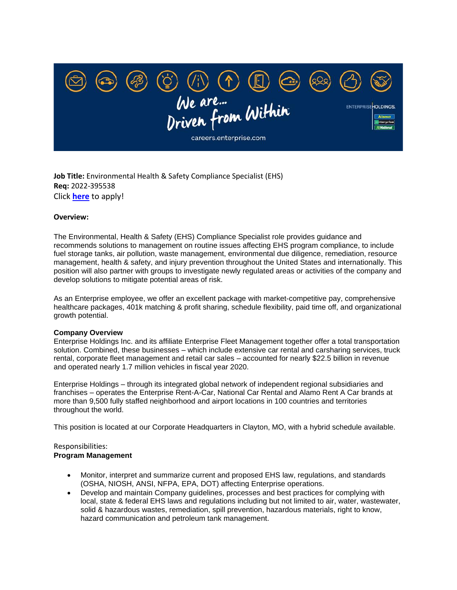

**Job Title:** Environmental Health & Safety Compliance Specialist (EHS) **Req:** 2022-395538 Click **[here](https://us-erac.icims.com/jobs/395538/environmental-health-%26-safety-compliance-specialist-%28ehs%29/job?mode=view&mobile=false&width=738&height=500&bga=true&needsRedirect=false&jan1offset=-360&jun1offset=-300)** to apply!

### **Overview:**

The Environmental, Health & Safety (EHS) Compliance Specialist role provides guidance and recommends solutions to management on routine issues affecting EHS program compliance, to include fuel storage tanks, air pollution, waste management, environmental due diligence, remediation, resource management, health & safety, and injury prevention throughout the United States and internationally. This position will also partner with groups to investigate newly regulated areas or activities of the company and develop solutions to mitigate potential areas of risk.

As an Enterprise employee, we offer an excellent package with market-competitive pay, comprehensive healthcare packages, 401k matching & profit sharing, schedule flexibility, paid time off, and organizational growth potential.

### **Company Overview**

Enterprise Holdings Inc. and its affiliate Enterprise Fleet Management together offer a total transportation solution. Combined, these businesses – which include extensive car rental and carsharing services, truck rental, corporate fleet management and retail car sales – accounted for nearly \$22.5 billion in revenue and operated nearly 1.7 million vehicles in fiscal year 2020.

Enterprise Holdings – through its integrated global network of independent regional subsidiaries and franchises – operates the Enterprise Rent-A-Car, National Car Rental and Alamo Rent A Car brands at more than 9,500 fully staffed neighborhood and airport locations in 100 countries and territories throughout the world.

This position is located at our Corporate Headquarters in Clayton, MO, with a hybrid schedule available.

# Responsibilities:

### **Program Management**

- Monitor, interpret and summarize current and proposed EHS law, regulations, and standards (OSHA, NIOSH, ANSI, NFPA, EPA, DOT) affecting Enterprise operations.
- Develop and maintain Company guidelines, processes and best practices for complying with local, state & federal EHS laws and regulations including but not limited to air, water, wastewater, solid & hazardous wastes, remediation, spill prevention, hazardous materials, right to know, hazard communication and petroleum tank management.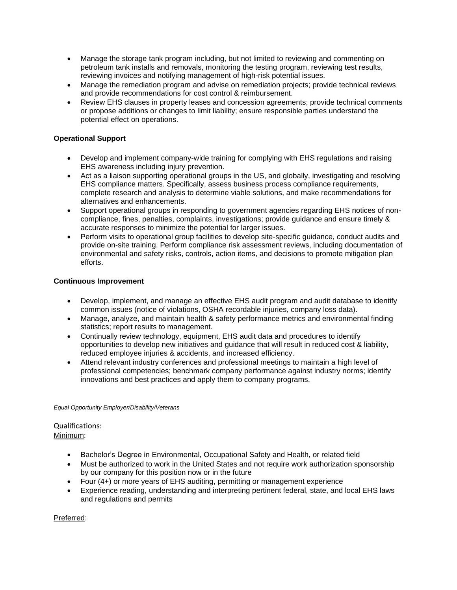- Manage the storage tank program including, but not limited to reviewing and commenting on petroleum tank installs and removals, monitoring the testing program, reviewing test results, reviewing invoices and notifying management of high-risk potential issues.
- Manage the remediation program and advise on remediation projects; provide technical reviews and provide recommendations for cost control & reimbursement.
- Review EHS clauses in property leases and concession agreements; provide technical comments or propose additions or changes to limit liability; ensure responsible parties understand the potential effect on operations.

# **Operational Support**

- Develop and implement company-wide training for complying with EHS regulations and raising EHS awareness including injury prevention.
- Act as a liaison supporting operational groups in the US, and globally, investigating and resolving EHS compliance matters. Specifically, assess business process compliance requirements, complete research and analysis to determine viable solutions, and make recommendations for alternatives and enhancements.
- Support operational groups in responding to government agencies regarding EHS notices of noncompliance, fines, penalties, complaints, investigations; provide guidance and ensure timely & accurate responses to minimize the potential for larger issues.
- Perform visits to operational group facilities to develop site-specific guidance, conduct audits and provide on-site training. Perform compliance risk assessment reviews, including documentation of environmental and safety risks, controls, action items, and decisions to promote mitigation plan efforts.

# **Continuous Improvement**

- Develop, implement, and manage an effective EHS audit program and audit database to identify common issues (notice of violations, OSHA recordable injuries, company loss data).
- Manage, analyze, and maintain health & safety performance metrics and environmental finding statistics; report results to management.
- Continually review technology, equipment, EHS audit data and procedures to identify opportunities to develop new initiatives and guidance that will result in reduced cost & liability, reduced employee injuries & accidents, and increased efficiency.
- Attend relevant industry conferences and professional meetings to maintain a high level of professional competencies; benchmark company performance against industry norms; identify innovations and best practices and apply them to company programs.

### *Equal Opportunity Employer/Disability/Veterans*

# Qualifications: Minimum:

- Bachelor's Degree in Environmental, Occupational Safety and Health, or related field
- Must be authorized to work in the United States and not require work authorization sponsorship by our company for this position now or in the future
- Four (4+) or more years of EHS auditing, permitting or management experience
- Experience reading, understanding and interpreting pertinent federal, state, and local EHS laws and regulations and permits

Preferred: